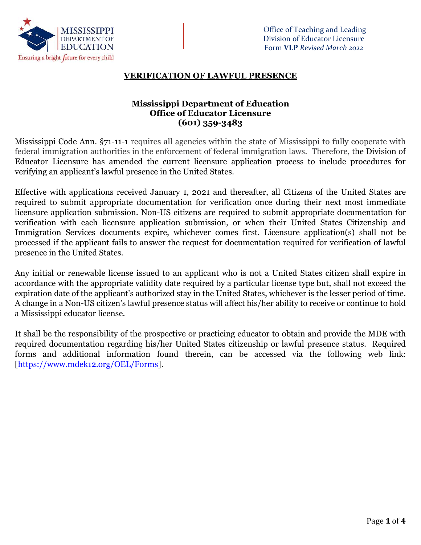

## **VERIFICATION OF LAWFUL PRESENCE**

## **Mississippi Department of Education Office of Educator Licensure (601) 359-3483**

Mississippi Code Ann. §71-11-1 requires all agencies within the state of Mississippi to fully cooperate with federal immigration authorities in the enforcement of federal immigration laws. Therefore, the Division of Educator Licensure has amended the current licensure application process to include procedures for verifying an applicant's lawful presence in the United States.

Effective with applications received January 1, 2021 and thereafter, all Citizens of the United States are required to submit appropriate documentation for verification once during their next most immediate licensure application submission. Non-US citizens are required to submit appropriate documentation for verification with each licensure application submission, or when their United States Citizenship and Immigration Services documents expire, whichever comes first. Licensure application(s) shall not be processed if the applicant fails to answer the request for documentation required for verification of lawful presence in the United States.

Any initial or renewable license issued to an applicant who is not a United States citizen shall expire in accordance with the appropriate validity date required by a particular license type but, shall not exceed the expiration date of the applicant's authorized stay in the United States, whichever is the lesser period of time. A change in a Non-US citizen's lawful presence status will affect his/her ability to receive or continue to hold a Mississippi educator license.

It shall be the responsibility of the prospective or practicing educator to obtain and provide the MDE with required documentation regarding his/her United States citizenship or lawful presence status. Required forms and additional information found therein, can be accessed via the following web link: [\[https://www.mdek12.org/OEL/Forms\]](https://www.mdek12.org/OEL/Forms).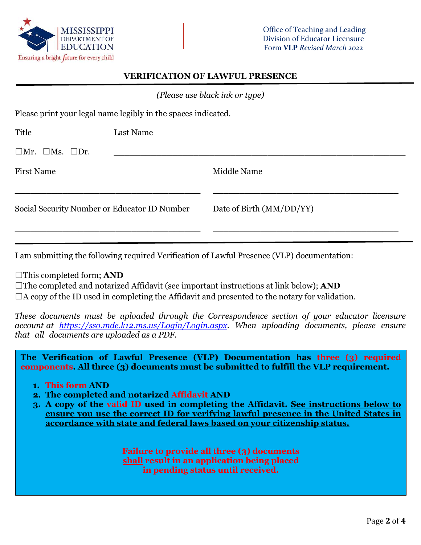

#### **VERIFICATION OF LAWFUL PRESENCE**

*(Please use black ink or type)*

Please print your legal name legibly in the spaces indicated.

| Title                                        | Last Name |                          |
|----------------------------------------------|-----------|--------------------------|
| $\square$ Mr. $\square$ Ms. $\square$ Dr.    |           |                          |
| <b>First Name</b>                            |           | Middle Name              |
| Social Security Number or Educator ID Number |           | Date of Birth (MM/DD/YY) |
|                                              |           |                          |

I am submitting the following required Verification of Lawful Presence (VLP) documentation:

☐This completed form; **AND**

☐The completed and notarized Affidavit (see important instructions at link below); **AND**  $\Box$ A copy of the ID used in completing the Affidavit and presented to the notary for validation.

*These documents must be uploaded through the Correspondence section of your educator licensure account at [https://sso.mde.k12.ms.us/Login/Login.aspx.](https://sso.mde.k12.ms.us/Login/Login.aspx) When uploading documents, please ensure that all documents are uploaded as a PDF.* 

**The Verification of Lawful Presence (VLP) Documentation has three (3) required components. All three (3) documents must be submitted to fulfill the VLP requirement.**

- **1. This form AND**
- **2. The completed and notarized Affidavit AND**
- **3. A copy of the valid ID used in completing the Affidavit. See instructions below to ensure you use the correct ID for verifying lawful presence in the United States in accordance with state and federal laws based on your citizenship status.**

**Failure to provide all three (3) documents shall result in an application being placed in pending status until received.**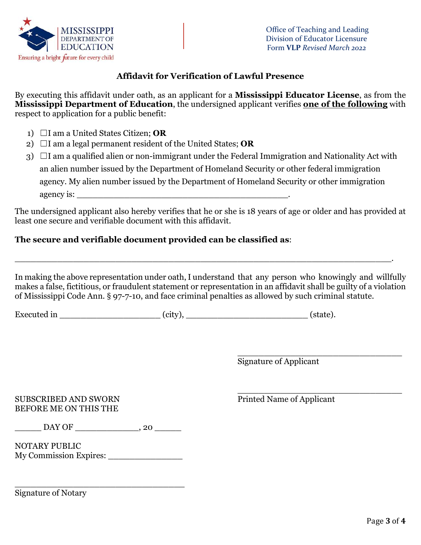

# **Affidavit for Verification of Lawful Presence**

By executing this affidavit under oath, as an applicant for a **Mississippi Educator License**, as from the **Mississippi Department of Education**, the undersigned applicant verifies **one of the following** with respect to application for a public benefit:

- 1) ☐I am a United States Citizen; **OR**
- 2)  $\Box$ I am a legal permanent resident of the United States; **OR**
- $3)$   $\Box$ I am a qualified alien or non-immigrant under the Federal Immigration and Nationality Act with an alien number issued by the Department of Homeland Security or other federal immigration agency. My alien number issued by the Department of Homeland Security or other immigration agency is: \_\_\_\_\_\_\_\_\_\_\_\_\_\_\_\_\_\_\_\_\_\_\_\_\_\_\_\_\_\_\_\_\_\_\_\_\_\_\_\_.

The undersigned applicant also hereby verifies that he or she is 18 years of age or older and has provided at least one secure and verifiable document with this affidavit.

# **The secure and verifiable document provided can be classified as**:

In making the above representation under oath, I understand that any person who knowingly and willfully makes a false, fictitious, or fraudulent statement or representation in an affidavit shall be guilty of a violation of Mississippi Code Ann. § 97-7-10, and face criminal penalties as allowed by such criminal statute.

\_\_\_\_\_\_\_\_\_\_\_\_\_\_\_\_\_\_\_\_\_\_\_\_\_\_\_\_\_\_\_\_\_\_\_\_\_\_\_\_\_\_\_\_\_\_\_\_\_\_\_\_\_\_\_\_\_\_\_\_\_\_\_\_\_\_\_\_\_\_\_.

Executed in \_\_\_\_\_\_\_\_\_\_\_\_\_\_\_\_\_\_\_ (city), \_\_\_\_\_\_\_\_\_\_\_\_\_\_\_\_\_\_\_\_\_\_\_ (state).

\_\_\_\_\_\_\_\_\_\_\_\_\_\_\_\_\_\_\_\_\_\_\_\_\_\_\_\_\_\_\_ Signature of Applicant

## SUBSCRIBED AND SWORN Printed Name of Applicant BEFORE ME ON THIS THE

\_\_\_\_\_\_\_\_\_\_\_\_\_\_\_\_\_\_\_\_\_\_\_\_\_\_\_\_\_\_\_

 $\mathrm{DAY \, OF}$   $\longrightarrow$  , 20

\_\_\_\_\_\_\_\_\_\_\_\_\_\_\_\_\_\_\_\_\_\_\_\_\_\_\_\_\_\_\_\_

NOTARY PUBLIC My Commission Expires: \_\_\_\_\_\_\_\_\_\_\_\_\_\_

Signature of Notary